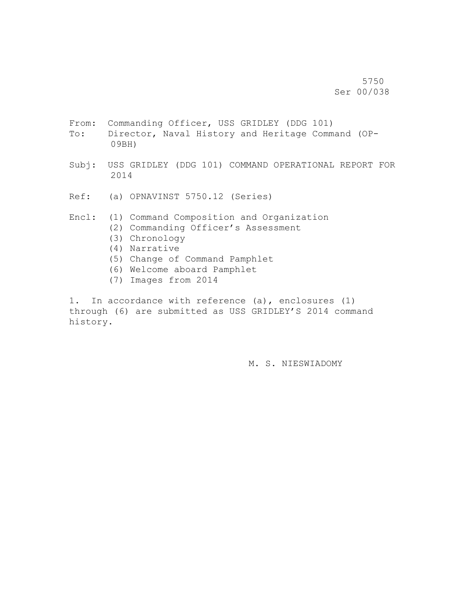5750 Ser 00/038

- From: Commanding Officer, USS GRIDLEY (DDG 101)
- To: Director, Naval History and Heritage Command (OP-09BH)
- Subj: USS GRIDLEY (DDG 101) COMMAND OPERATIONAL REPORT FOR 2014
- Ref: (a) OPNAVINST 5750.12 (Series)
- Encl: (1) Command Composition and Organization
	- (2) Commanding Officer's Assessment
	- (3) Chronology
	- (4) Narrative
	- (5) Change of Command Pamphlet
	- (6) Welcome aboard Pamphlet
	- (7) Images from 2014

1. In accordance with reference (a), enclosures (1) through (6) are submitted as USS GRIDLEY'S 2014 command history.

M. S. NIESWIADOMY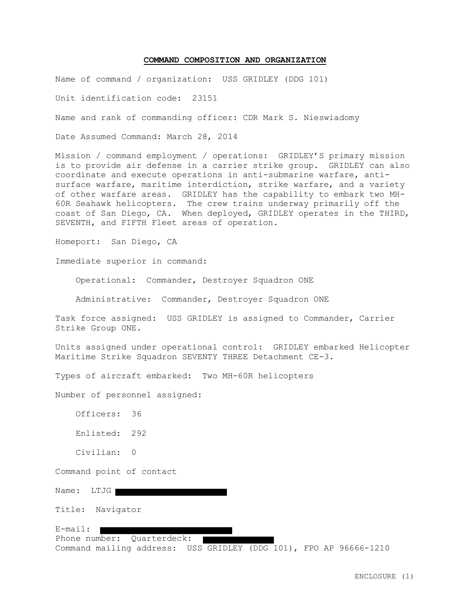#### **COMMAND COMPOSITION AND ORGANIZATION**

Name of command / organization: USS GRIDLEY (DDG 101)

Unit identification code: 23151

Name and rank of commanding officer: CDR Mark S. Nieswiadomy

Date Assumed Command: March 28, 2014

Mission / command employment / operations: GRIDLEY'S primary mission is to provide air defense in a carrier strike group. GRIDLEY can also coordinate and execute operations in anti-submarine warfare, antisurface warfare, maritime interdiction, strike warfare, and a variety of other warfare areas. GRIDLEY has the capability to embark two MH-60R Seahawk helicopters. The crew trains underway primarily off the coast of San Diego, CA. When deployed, GRIDLEY operates in the THIRD, SEVENTH, and FIFTH Fleet areas of operation.

Homeport: San Diego, CA

Immediate superior in command:

Operational: Commander, Destroyer Squadron ONE

Administrative: Commander, Destroyer Squadron ONE

Task force assigned: USS GRIDLEY is assigned to Commander, Carrier Strike Group ONE.

Units assigned under operational control: GRIDLEY embarked Helicopter Maritime Strike Squadron SEVENTY THREE Detachment CE-3.

Types of aircraft embarked: Two MH-60R helicopters

Number of personnel assigned:

 Officers: 36 Enlisted: 292 Civilian: 0

Command point of contact

Name: LTJG

Title: Navigator

E-mail: Phone number: Quarterdeck: Command mailing address: USS GRIDLEY (DDG 101), FPO AP 96666-1210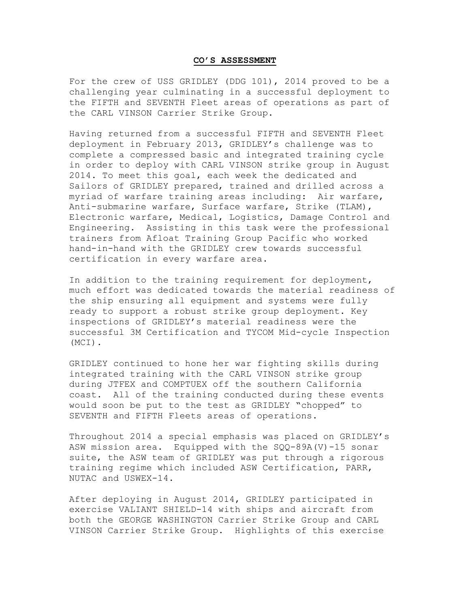#### **CO'S ASSESSMENT**

For the crew of USS GRIDLEY (DDG 101), 2014 proved to be a challenging year culminating in a successful deployment to the FIFTH and SEVENTH Fleet areas of operations as part of the CARL VINSON Carrier Strike Group.

Having returned from a successful FIFTH and SEVENTH Fleet deployment in February 2013, GRIDLEY's challenge was to complete a compressed basic and integrated training cycle in order to deploy with CARL VINSON strike group in August 2014. To meet this goal, each week the dedicated and Sailors of GRIDLEY prepared, trained and drilled across a myriad of warfare training areas including: Air warfare, Anti-submarine warfare, Surface warfare, Strike (TLAM), Electronic warfare, Medical, Logistics, Damage Control and Engineering. Assisting in this task were the professional trainers from Afloat Training Group Pacific who worked hand-in-hand with the GRIDLEY crew towards successful certification in every warfare area.

In addition to the training requirement for deployment, much effort was dedicated towards the material readiness of the ship ensuring all equipment and systems were fully ready to support a robust strike group deployment. Key inspections of GRIDLEY's material readiness were the successful 3M Certification and TYCOM Mid-cycle Inspection (MCI).

GRIDLEY continued to hone her war fighting skills during integrated training with the CARL VINSON strike group during JTFEX and COMPTUEX off the southern California coast. All of the training conducted during these events would soon be put to the test as GRIDLEY "chopped" to SEVENTH and FIFTH Fleets areas of operations.

Throughout 2014 a special emphasis was placed on GRIDLEY's ASW mission area. Equipped with the SQQ-89A(V)-15 sonar suite, the ASW team of GRIDLEY was put through a rigorous training regime which included ASW Certification, PARR, NUTAC and USWEX-14.

After deploying in August 2014, GRIDLEY participated in exercise VALIANT SHIELD-14 with ships and aircraft from both the GEORGE WASHINGTON Carrier Strike Group and CARL VINSON Carrier Strike Group. Highlights of this exercise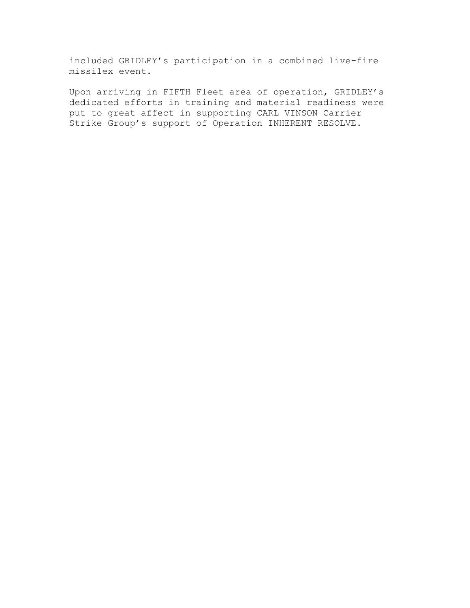included GRIDLEY's participation in a combined live-fire missilex event.

Upon arriving in FIFTH Fleet area of operation, GRIDLEY's dedicated efforts in training and material readiness were put to great affect in supporting CARL VINSON Carrier Strike Group's support of Operation INHERENT RESOLVE.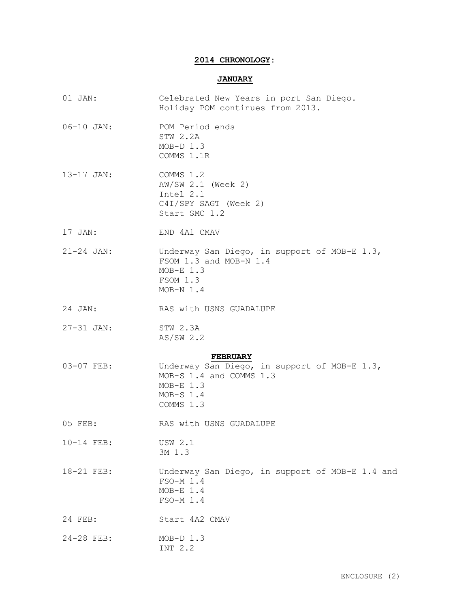# **2014 CHRONOLOGY:**

## **JANUARY**

| $01$ JAN:       | Celebrated New Years in port San Diego.<br>Holiday POM continues from 2013.                                        |  |  |  |
|-----------------|--------------------------------------------------------------------------------------------------------------------|--|--|--|
| $06 - 10$ JAN:  | POM Period ends<br>STW 2.2A<br>$MOD-D$ 1.3<br>COMMS 1.1R                                                           |  |  |  |
| $13 - 17$ JAN:  | COMMS 1.2<br>AW/SW 2.1 (Week 2)<br>Intel 2.1<br>C4I/SPY SAGT (Week 2)<br>Start SMC 1.2                             |  |  |  |
| 17 JAN:         | END 4A1 CMAV                                                                                                       |  |  |  |
| $21 - 24$ JAN:  | Underway San Diego, in support of MOB-E 1.3,<br>FSOM 1.3 and MOB-N 1.4<br>$MOB-E$ 1.3<br>FSOM 1.3<br>$MOB-N 1.4$   |  |  |  |
| 24 JAN:         | RAS with USNS GUADALUPE                                                                                            |  |  |  |
| $27 - 31$ JAN:  | STW 2.3A<br>AS/SW 2.2                                                                                              |  |  |  |
| <b>FEBRUARY</b> |                                                                                                                    |  |  |  |
| 03-07 FEB:      | Underway San Diego, in support of MOB-E 1.3,<br>MOB-S 1.4 and COMMS 1.3<br>$MOB-E$ 1.3<br>$MOB-S 1.4$<br>COMMS 1.3 |  |  |  |
| 05 FEB:         | RAS with USNS GUADALUPE                                                                                            |  |  |  |
| 10-14 FEB:      | <b>USW 2.1</b><br>3M 1.3                                                                                           |  |  |  |
| 18-21 FEB:      | Underway San Diego, in support of MOB-E 1.4 and<br>FSO-M 1.4<br>$MOB-E$ 1.4<br>FSO-M 1.4                           |  |  |  |
| 24 FEB:         | Start 4A2 CMAV                                                                                                     |  |  |  |
| 24-28 FEB:      | $MOD-D$ 1.3<br>INT 2.2                                                                                             |  |  |  |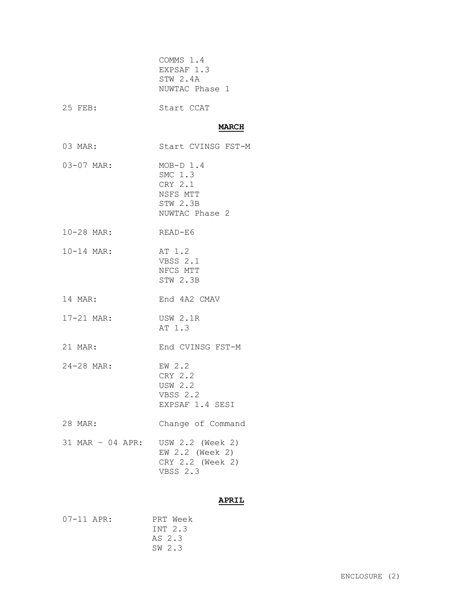|                  | COMMS 1.4<br>EXPSAF 1.3<br>STW 2.4A<br>NUWTAC Phase 1                       |
|------------------|-----------------------------------------------------------------------------|
| 25 FEB:          | Start CCAT                                                                  |
|                  | <b>MARCH</b>                                                                |
| 03 MAR:          | Start CVINSG FST-M                                                          |
| 03-07 MAR:       | $MOB-D 1.4$<br>SMC 1.3<br>CRY 2.1<br>NSFS MTT<br>STW 2.3B<br>NUWTAC Phase 2 |
| 10-28 MAR:       | READ-E6                                                                     |
| $10 - 14$ MAR:   | AT 1.2<br>VBSS 2.1<br>NFCS MTT<br>STW 2.3B                                  |
| 14 MAR:          | End 4A2 CMAV                                                                |
| 17-21 MAR:       | <b>USW 2.1R</b><br>AT 1.3                                                   |
| 21 MAR:          | End CVINSG FST-M                                                            |
| 24-28 MAR:       | EW 2.2<br>CRY 2.2<br><b>USW 2.2</b><br>VBSS 2.2<br>EXPSAF 1.4 SESI          |
| 28 MAR:          | Change of Command                                                           |
| 31 MAR - 04 APR: | USW 2.2 (Week 2)<br>EW 2.2 (Week 2)<br>CRY 2.2 (Week 2)<br><b>VBSS 2.3</b>  |

# **APRIL**

| $07 - 11$ APR: | PRT Week |
|----------------|----------|
|                | TNT 2.3  |
|                | AS 2.3   |
|                | SW 2.3   |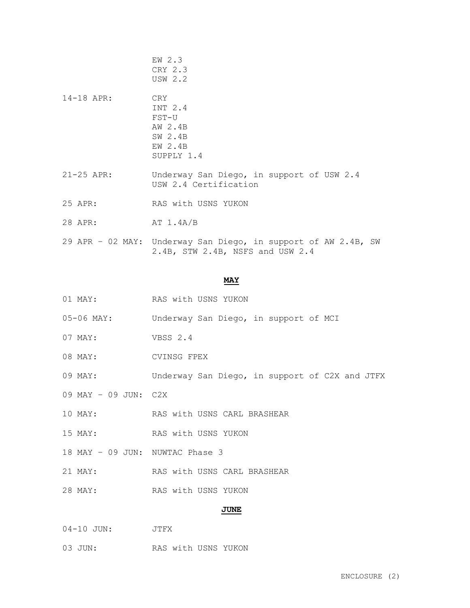- EW 2.3 CRY 2.3 USW 2.2 14-18 APR: CRY INT 2.4 FST-U AW 2.4B SW 2.4B EW 2.4B SUPPLY 1.4 21-25 APR: Underway San Diego, in support of USW 2.4 USW 2.4 Certification 25 APR: RAS with USNS YUKON
- 28 APR: AT 1.4A/B
- 29 APR 02 MAY: Underway San Diego, in support of AW 2.4B, SW 2.4B, STW 2.4B, NSFS and USW 2.4

## **MAY**

- 01 MAY: RAS with USNS YUKON
- 05-06 MAY: Underway San Diego, in support of MCI
- 07 MAY: VBSS 2.4
- 08 MAY: CVINSG FPEX
- 09 MAY: Underway San Diego, in support of C2X and JTFX
- 09 MAY 09 JUN: C2X
- 10 MAY: RAS with USNS CARL BRASHEAR
- 15 MAY: RAS with USNS YUKON
- 18 MAY 09 JUN: NUWTAC Phase 3
- 21 MAY: RAS with USNS CARL BRASHEAR
- 28 MAY: RAS with USNS YUKON

## **JUNE**

- 04-10 JUN: JTFX
- 03 JUN: RAS with USNS YUKON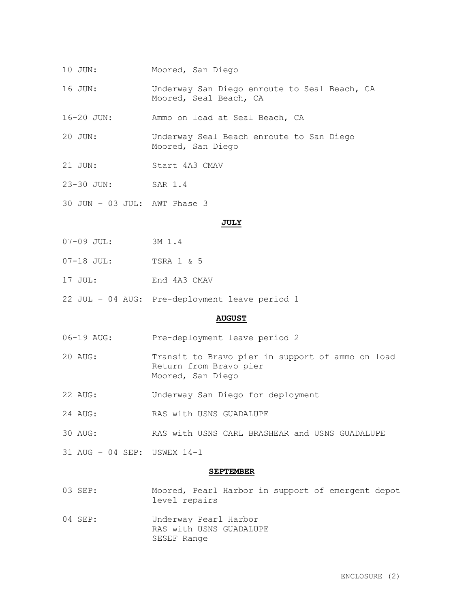- 10 JUN: Moored, San Diego
- 16 JUN: Underway San Diego enroute to Seal Beach, CA Moored, Seal Beach, CA

16-20 JUN: Ammo on load at Seal Beach, CA

- 20 JUN: Underway Seal Beach enroute to San Diego Moored, San Diego
- 21 JUN: Start 4A3 CMAV
- 23-30 JUN: SAR 1.4
- 30 JUN 03 JUL: AWT Phase 3

### **JULY**

- 07-09 JUL: 3M 1.4
- 07-18 JUL: TSRA 1 & 5
- 17 JUL: End 4A3 CMAV
- 22 JUL 04 AUG: Pre-deployment leave period 1

#### **AUGUST**

- 06-19 AUG: Pre-deployment leave period 2
- 20 AUG: Transit to Bravo pier in support of ammo on load Return from Bravo pier Moored, San Diego
- 22 AUG: Underway San Diego for deployment
- 24 AUG: RAS with USNS GUADALUPE
- 30 AUG: RAS with USNS CARL BRASHEAR and USNS GUADALUPE
- 31 AUG 04 SEP: USWEX 14-1

#### **SEPTEMBER**

- 03 SEP: Moored, Pearl Harbor in support of emergent depot level repairs
- 04 SEP: Underway Pearl Harbor RAS with USNS GUADALUPE SESEF Range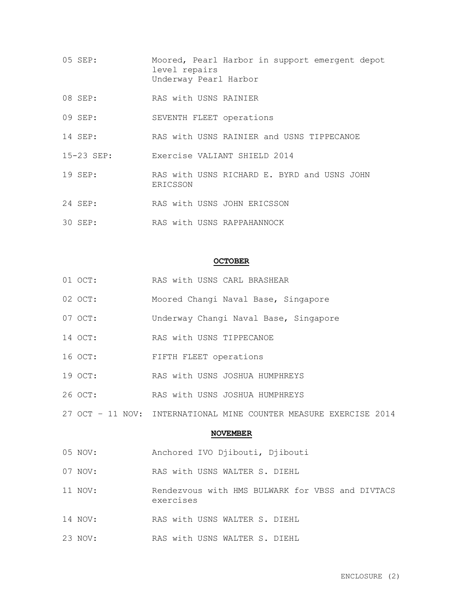- 05 SEP: Moored, Pearl Harbor in support emergent depot level repairs Underway Pearl Harbor
- 08 SEP: RAS with USNS RAINIER
- 09 SEP: SEVENTH FLEET operations
- 14 SEP: RAS with USNS RAINIER and USNS TIPPECANOE
- 15-23 SEP: Exercise VALIANT SHIELD 2014
- 19 SEP: RAS with USNS RICHARD E. BYRD and USNS JOHN ERICSSON
- 24 SEP: RAS with USNS JOHN ERICSSON
- 30 SEP: RAS with USNS RAPPAHANNOCK

### **OCTOBER**

- 01 OCT: RAS with USNS CARL BRASHEAR
- 02 OCT: Moored Changi Naval Base, Singapore
- 07 OCT: Underway Changi Naval Base, Singapore
- 14 OCT: RAS with USNS TIPPECANOE
- 16 OCT: FIFTH FLEET operations
- 19 OCT: RAS with USNS JOSHUA HUMPHREYS
- 26 OCT: RAS with USNS JOSHUA HUMPHREYS
- 27 OCT 11 NOV: INTERNATIONAL MINE COUNTER MEASURE EXERCISE 2014

### **NOVEMBER**

- 05 NOV: Anchored IVO Djibouti, Djibouti
- 07 NOV: RAS with USNS WALTER S. DIEHL
- 11 NOV: Rendezvous with HMS BULWARK for VBSS and DIVTACS exercises
- 14 NOV: RAS with USNS WALTER S. DIEHL
- 23 NOV: RAS with USNS WALTER S. DIEHL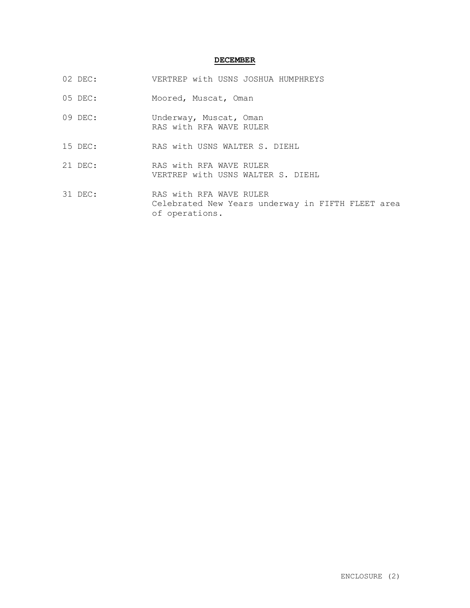# **DECEMBER**

- 02 DEC: VERTREP with USNS JOSHUA HUMPHREYS
- 05 DEC: Moored, Muscat, Oman
- 09 DEC: Underway, Muscat, Oman RAS with RFA WAVE RULER
- 15 DEC: RAS with USNS WALTER S. DIEHL
- 21 DEC: RAS with RFA WAVE RULER VERTREP with USNS WALTER S. DIEHL
- 31 DEC: RAS with RFA WAVE RULER Celebrated New Years underway in FIFTH FLEET area of operations.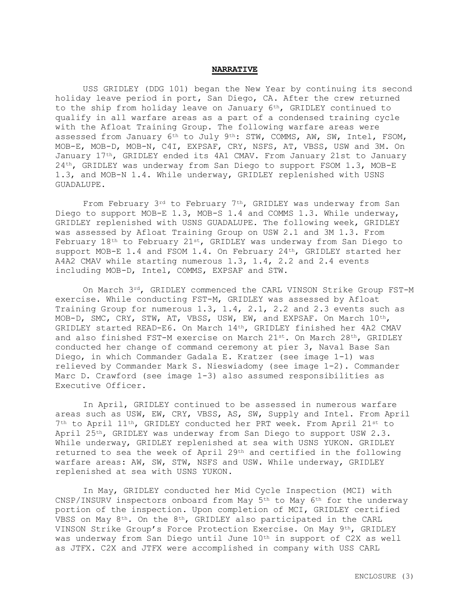### **NARRATIVE**

USS GRIDLEY (DDG 101) began the New Year by continuing its second holiday leave period in port, San Diego, CA. After the crew returned to the ship from holiday leave on January  $6<sup>th</sup>$ , GRIDLEY continued to qualify in all warfare areas as a part of a condensed training cycle with the Afloat Training Group. The following warfare areas were assessed from January 6<sup>th</sup> to July 9<sup>th</sup>: STW, COMMS, AW, SW, Intel, FSOM, MOB-E, MOB-D, MOB-N, C4I, EXPSAF, CRY, NSFS, AT, VBSS, USW and 3M. On January 17th, GRIDLEY ended its 4A1 CMAV. From January 21st to January 24th, GRIDLEY was underway from San Diego to support FSOM 1.3, MOB-E 1.3, and MOB-N 1.4. While underway, GRIDLEY replenished with USNS GUADALUPE.

From February 3rd to February 7th, GRIDLEY was underway from San Diego to support MOB-E 1.3, MOB-S 1.4 and COMMS 1.3. While underway, GRIDLEY replenished with USNS GUADALUPE. The following week, GRIDLEY was assessed by Afloat Training Group on USW 2.1 and 3M 1.3. From February 18th to February 21st, GRIDLEY was underway from San Diego to support MOB-E 1.4 and FSOM 1.4. On February 24th, GRIDLEY started her A4A2 CMAV while starting numerous 1.3, 1.4, 2.2 and 2.4 events including MOB-D, Intel, COMMS, EXPSAF and STW.

On March 3<sup>rd</sup>, GRIDLEY commenced the CARL VINSON Strike Group FST-M exercise. While conducting FST-M, GRIDLEY was assessed by Afloat Training Group for numerous 1.3, 1.4, 2.1, 2.2 and 2.3 events such as MOB-D, SMC, CRY, STW, AT, VBSS, USW, EW, and EXPSAF. On March 10th, GRIDLEY started READ-E6. On March 14th, GRIDLEY finished her 4A2 CMAV and also finished FST-M exercise on March 21st. On March 28th, GRIDLEY conducted her change of command ceremony at pier 3, Naval Base San Diego, in which Commander Gadala E. Kratzer (see image 1-1) was relieved by Commander Mark S. Nieswiadomy (see image 1-2). Commander Marc D. Crawford (see image 1-3) also assumed responsibilities as Executive Officer.

In April, GRIDLEY continued to be assessed in numerous warfare areas such as USW, EW, CRY, VBSS, AS, SW, Supply and Intel. From April 7th to April 11th, GRIDLEY conducted her PRT week. From April 21st to April 25<sup>th</sup>, GRIDLEY was underway from San Diego to support USW 2.3. While underway, GRIDLEY replenished at sea with USNS YUKON. GRIDLEY returned to sea the week of April 29th and certified in the following warfare areas: AW, SW, STW, NSFS and USW. While underway, GRIDLEY replenished at sea with USNS YUKON.

In May, GRIDLEY conducted her Mid Cycle Inspection (MCI) with CNSP/INSURV inspectors onboard from May  $5<sup>th</sup>$  to May  $6<sup>th</sup>$  for the underway portion of the inspection. Upon completion of MCI, GRIDLEY certified VBSS on May 8th. On the 8th, GRIDLEY also participated in the CARL VINSON Strike Group's Force Protection Exercise. On May 9th, GRIDLEY was underway from San Diego until June 10th in support of C2X as well as JTFX. C2X and JTFX were accomplished in company with USS CARL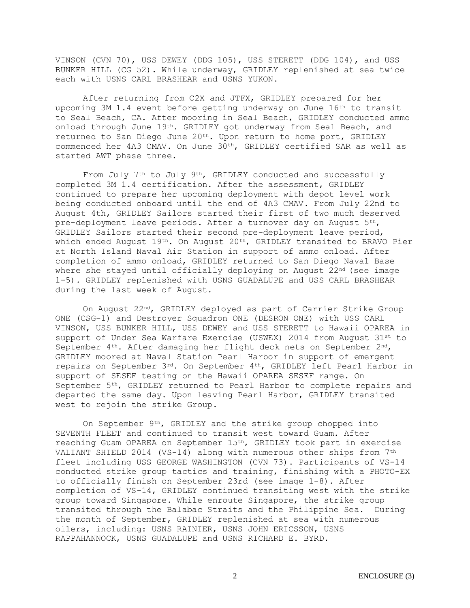VINSON (CVN 70), USS DEWEY (DDG 105), USS STERETT (DDG 104), and USS BUNKER HILL (CG 52). While underway, GRIDLEY replenished at sea twice each with USNS CARL BRASHEAR and USNS YUKON.

After returning from C2X and JTFX, GRIDLEY prepared for her upcoming 3M 1.4 event before getting underway on June 16th to transit to Seal Beach, CA. After mooring in Seal Beach, GRIDLEY conducted ammo onload through June 19th. GRIDLEY got underway from Seal Beach, and returned to San Diego June  $20<sup>th</sup>$ . Upon return to home port, GRIDLEY commenced her 4A3 CMAV. On June 30th, GRIDLEY certified SAR as well as started AWT phase three.

From July 7<sup>th</sup> to July 9<sup>th</sup>, GRIDLEY conducted and successfully completed 3M 1.4 certification. After the assessment, GRIDLEY continued to prepare her upcoming deployment with depot level work being conducted onboard until the end of 4A3 CMAV. From July 22nd to August 4th, GRIDLEY Sailors started their first of two much deserved pre-deployment leave periods. After a turnover day on August  $5<sup>th</sup>$ , GRIDLEY Sailors started their second pre-deployment leave period, which ended August  $19^{th}$ . On August  $20^{th}$ , GRIDLEY transited to BRAVO Pier at North Island Naval Air Station in support of ammo onload. After completion of ammo onload, GRIDLEY returned to San Diego Naval Base where she stayed until officially deploying on August 22<sup>nd</sup> (see image 1-5). GRIDLEY replenished with USNS GUADALUPE and USS CARL BRASHEAR during the last week of August.

On August 22nd, GRIDLEY deployed as part of Carrier Strike Group ONE (CSG-1) and Destroyer Squadron ONE (DESRON ONE) with USS CARL VINSON, USS BUNKER HILL, USS DEWEY and USS STERETT to Hawaii OPAREA in support of Under Sea Warfare Exercise (USWEX) 2014 from August 31st to September 4th. After damaging her flight deck nets on September 2nd, GRIDLEY moored at Naval Station Pearl Harbor in support of emergent repairs on September 3rd. On September 4th, GRIDLEY left Pearl Harbor in support of SESEF testing on the Hawaii OPAREA SESEF range. On September 5th, GRIDLEY returned to Pearl Harbor to complete repairs and departed the same day. Upon leaving Pearl Harbor, GRIDLEY transited west to rejoin the strike Group.

On September 9th, GRIDLEY and the strike group chopped into SEVENTH FLEET and continued to transit west toward Guam. After reaching Guam OPAREA on September 15th, GRIDLEY took part in exercise VALIANT SHIELD 2014 (VS-14) along with numerous other ships from 7<sup>th</sup> fleet including USS GEORGE WASHINGTON (CVN 73). Participants of VS-14 conducted strike group tactics and training, finishing with a PHOTO-EX to officially finish on September 23rd (see image 1-8). After completion of VS-14, GRIDLEY continued transiting west with the strike group toward Singapore. While enroute Singapore, the strike group transited through the Balabac Straits and the Philippine Sea. During the month of September, GRIDLEY replenished at sea with numerous oilers, including: USNS RAINIER, USNS JOHN ERICSSON, USNS RAPPAHANNOCK, USNS GUADALUPE and USNS RICHARD E. BYRD.